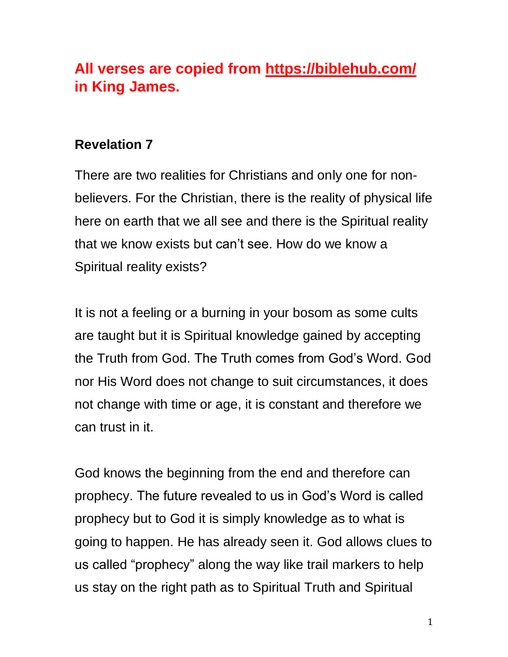# **All verses are copied from https://biblehub.com/ in King James.**

## **Revelation 7**

There are two realities for Christians and only one for nonbelievers. For the Christian, there is the reality of physical life here on earth that we all see and there is the Spiritual reality that we know exists but can't see. How do we know a Spiritual reality exists?

It is not a feeling or a burning in your bosom as some cults are taught but it is Spiritual knowledge gained by accepting the Truth from God. The Truth comes from God's Word. God nor His Word does not change to suit circumstances, it does not change with time or age, it is constant and therefore we can trust in it.

God knows the beginning from the end and therefore can prophecy. The future revealed to us in God's Word is called prophecy but to God it is simply knowledge as to what is going to happen. He has already seen it. God allows clues to us called "prophecy" along the way like trail markers to help us stay on the right path as to Spiritual Truth and Spiritual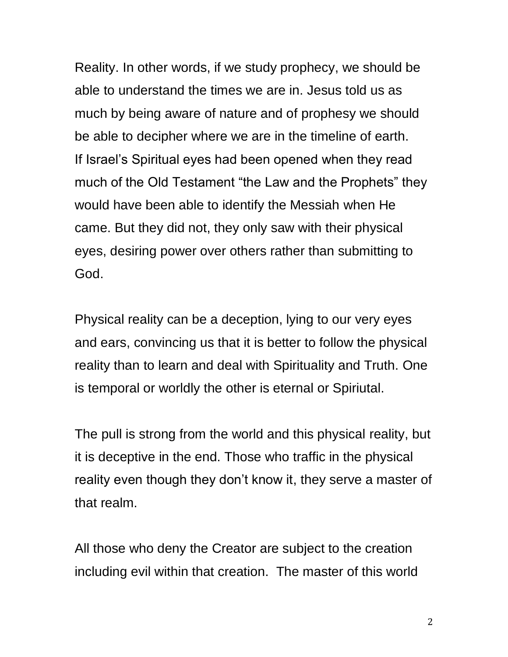Reality. In other words, if we study prophecy, we should be able to understand the times we are in. Jesus told us as much by being aware of nature and of prophesy we should be able to decipher where we are in the timeline of earth. If Israel's Spiritual eyes had been opened when they read much of the Old Testament "the Law and the Prophets" they would have been able to identify the Messiah when He came. But they did not, they only saw with their physical eyes, desiring power over others rather than submitting to God.

Physical reality can be a deception, lying to our very eyes and ears, convincing us that it is better to follow the physical reality than to learn and deal with Spirituality and Truth. One is temporal or worldly the other is eternal or Spiriutal.

The pull is strong from the world and this physical reality, but it is deceptive in the end. Those who traffic in the physical reality even though they don't know it, they serve a master of that realm.

All those who deny the Creator are subject to the creation including evil within that creation. The master of this world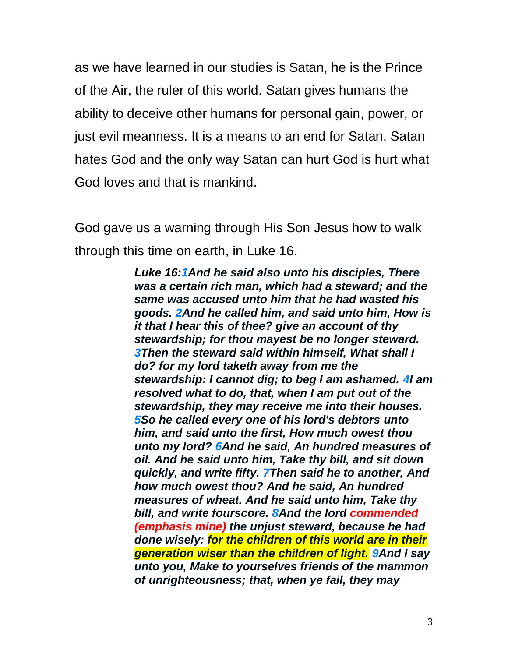as we have learned in our studies is Satan, he is the Prince of the Air, the ruler of this world. Satan gives humans the ability to deceive other humans for personal gain, power, or just evil meanness. It is a means to an end for Satan. Satan hates God and the only way Satan can hurt God is hurt what God loves and that is mankind.

God gave us a warning through His Son Jesus how to walk through this time on earth, in Luke 16.

> *Luke 16[:1A](http://biblehub.com/luke/16-1.htm)nd he said also unto his disciples, There was a certain rich man, which had a steward; and the same was accused unto him that he had wasted his goods. [2A](http://biblehub.com/luke/16-2.htm)nd he called him, and said unto him, How is it that I hear this of thee? give an account of thy stewardship; for thou mayest be no longer steward. [3T](http://biblehub.com/luke/16-3.htm)hen the steward said within himself, What shall I do? for my lord taketh away from me the stewardship: I cannot dig; to beg I am ashamed. [4I](http://biblehub.com/luke/16-4.htm) am resolved what to do, that, when I am put out of the stewardship, they may receive me into their houses. [5S](http://biblehub.com/luke/16-5.htm)o he called every one of his lord's debtors unto him, and said unto the first, How much owest thou unto my lord? [6A](http://biblehub.com/luke/16-6.htm)nd he said, An hundred measures of oil. And he said unto him, Take thy bill, and sit down quickly, and write fifty. [7T](http://biblehub.com/luke/16-7.htm)hen said he to another, And how much owest thou? And he said, An hundred measures of wheat. And he said unto him, Take thy bill, and write fourscore. [8A](http://biblehub.com/luke/16-8.htm)nd the lord commended (emphasis mine) the unjust steward, because he had done wisely: for the children of this world are in their generation wiser than the children of light. [9A](http://biblehub.com/luke/16-9.htm)nd I say unto you, Make to yourselves friends of the mammon of unrighteousness; that, when ye fail, they may*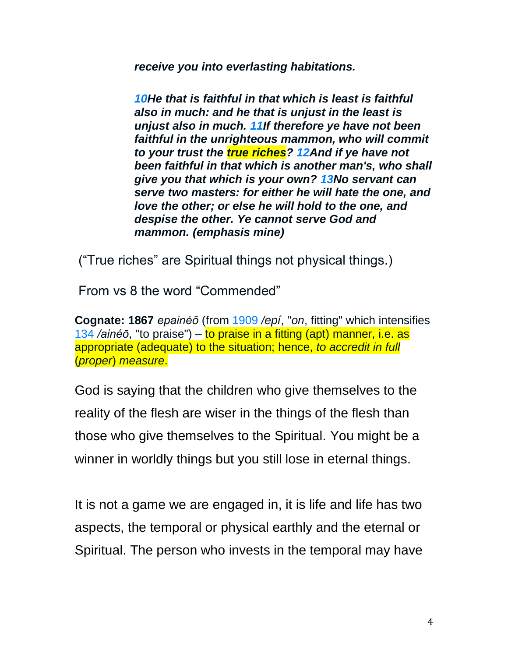*receive you into everlasting habitations.*

*[10H](http://biblehub.com/luke/16-10.htm)e that is faithful in that which is least is faithful also in much: and he that is unjust in the least is unjust also in much. [11I](http://biblehub.com/luke/16-11.htm)f therefore ye have not been faithful in the unrighteous mammon, who will commit to your trust the true riches? [12A](http://biblehub.com/luke/16-12.htm)nd if ye have not been faithful in that which is another man's, who shall give you that which is your own? [13N](http://biblehub.com/luke/16-13.htm)o servant can serve two masters: for either he will hate the one, and love the other; or else he will hold to the one, and despise the other. Ye cannot serve God and mammon. (emphasis mine)*

("True riches" are Spiritual things not physical things.)

From vs 8 the word "Commended"

**Cognate: 1867** *epainéō* (from [1909](http://biblehub.com/greek/1909.htm) */epí*, "*on*, fitting" which intensifies [134](http://biblehub.com/greek/134.htm) */ainéō*, "to praise") – to praise in a fitting (apt) manner, i.e. as appropriate (adequate) to the situation; hence, *to accredit in full* (*proper*) *measure*.

God is saying that the children who give themselves to the reality of the flesh are wiser in the things of the flesh than those who give themselves to the Spiritual. You might be a winner in worldly things but you still lose in eternal things.

It is not a game we are engaged in, it is life and life has two aspects, the temporal or physical earthly and the eternal or Spiritual. The person who invests in the temporal may have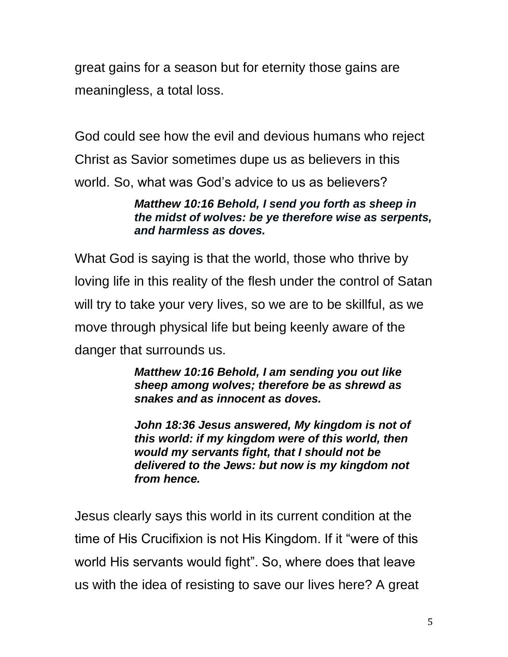great gains for a season but for eternity those gains are meaningless, a total loss.

God could see how the evil and devious humans who reject Christ as Savior sometimes dupe us as believers in this world. So, what was God's advice to us as believers?

#### *Matthew 10:16 Behold, I send you forth as sheep in the midst of wolves: be ye therefore wise as serpents, and harmless as doves.*

What God is saying is that the world, those who thrive by loving life in this reality of the flesh under the control of Satan will try to take your very lives, so we are to be skillful, as we move through physical life but being keenly aware of the danger that surrounds us.

> *Matthew 10:16 Behold, I am sending you out like sheep among wolves; therefore be as shrewd as snakes and as innocent as doves.*

*John 18:36 Jesus answered, My kingdom is not of this world: if my kingdom were of this world, then would my servants fight, that I should not be delivered to the Jews: but now is my kingdom not from hence.*

Jesus clearly says this world in its current condition at the time of His Crucifixion is not His Kingdom. If it "were of this world His servants would fight". So, where does that leave us with the idea of resisting to save our lives here? A great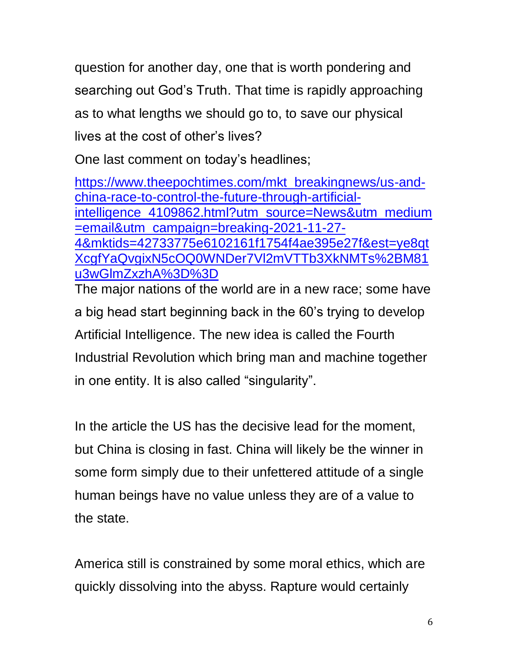question for another day, one that is worth pondering and searching out God's Truth. That time is rapidly approaching as to what lengths we should go to, to save our physical lives at the cost of other's lives?

One last comment on today's headlines;

[https://www.theepochtimes.com/mkt\\_breakingnews/us-and](https://www.theepochtimes.com/mkt_breakingnews/us-and-china-race-to-control-the-future-through-artificial-intelligence_4109862.html?utm_source=News&utm_medium=email&utm_campaign=breaking-2021-11-27-4&mktids=42733775e6102161f1754f4ae395e27f&est=ye8qtXcgfYaQvgixN5cOQ0WNDer7Vl2mVTTb3XkNMTs%2BM81u3wGlmZxzhA%3D%3D)[china-race-to-control-the-future-through-artificial](https://www.theepochtimes.com/mkt_breakingnews/us-and-china-race-to-control-the-future-through-artificial-intelligence_4109862.html?utm_source=News&utm_medium=email&utm_campaign=breaking-2021-11-27-4&mktids=42733775e6102161f1754f4ae395e27f&est=ye8qtXcgfYaQvgixN5cOQ0WNDer7Vl2mVTTb3XkNMTs%2BM81u3wGlmZxzhA%3D%3D)[intelligence\\_4109862.html?utm\\_source=News&utm\\_medium](https://www.theepochtimes.com/mkt_breakingnews/us-and-china-race-to-control-the-future-through-artificial-intelligence_4109862.html?utm_source=News&utm_medium=email&utm_campaign=breaking-2021-11-27-4&mktids=42733775e6102161f1754f4ae395e27f&est=ye8qtXcgfYaQvgixN5cOQ0WNDer7Vl2mVTTb3XkNMTs%2BM81u3wGlmZxzhA%3D%3D) [=email&utm\\_campaign=breaking-2021-11-27-](https://www.theepochtimes.com/mkt_breakingnews/us-and-china-race-to-control-the-future-through-artificial-intelligence_4109862.html?utm_source=News&utm_medium=email&utm_campaign=breaking-2021-11-27-4&mktids=42733775e6102161f1754f4ae395e27f&est=ye8qtXcgfYaQvgixN5cOQ0WNDer7Vl2mVTTb3XkNMTs%2BM81u3wGlmZxzhA%3D%3D) [4&mktids=42733775e6102161f1754f4ae395e27f&est=ye8qt](https://www.theepochtimes.com/mkt_breakingnews/us-and-china-race-to-control-the-future-through-artificial-intelligence_4109862.html?utm_source=News&utm_medium=email&utm_campaign=breaking-2021-11-27-4&mktids=42733775e6102161f1754f4ae395e27f&est=ye8qtXcgfYaQvgixN5cOQ0WNDer7Vl2mVTTb3XkNMTs%2BM81u3wGlmZxzhA%3D%3D) [XcgfYaQvgixN5cOQ0WNDer7Vl2mVTTb3XkNMTs%2BM81](https://www.theepochtimes.com/mkt_breakingnews/us-and-china-race-to-control-the-future-through-artificial-intelligence_4109862.html?utm_source=News&utm_medium=email&utm_campaign=breaking-2021-11-27-4&mktids=42733775e6102161f1754f4ae395e27f&est=ye8qtXcgfYaQvgixN5cOQ0WNDer7Vl2mVTTb3XkNMTs%2BM81u3wGlmZxzhA%3D%3D) [u3wGlmZxzhA%3D%3D](https://www.theepochtimes.com/mkt_breakingnews/us-and-china-race-to-control-the-future-through-artificial-intelligence_4109862.html?utm_source=News&utm_medium=email&utm_campaign=breaking-2021-11-27-4&mktids=42733775e6102161f1754f4ae395e27f&est=ye8qtXcgfYaQvgixN5cOQ0WNDer7Vl2mVTTb3XkNMTs%2BM81u3wGlmZxzhA%3D%3D)

The major nations of the world are in a new race; some have a big head start beginning back in the 60's trying to develop Artificial Intelligence. The new idea is called the Fourth Industrial Revolution which bring man and machine together in one entity. It is also called "singularity".

In the article the US has the decisive lead for the moment, but China is closing in fast. China will likely be the winner in some form simply due to their unfettered attitude of a single human beings have no value unless they are of a value to the state.

America still is constrained by some moral ethics, which are quickly dissolving into the abyss. Rapture would certainly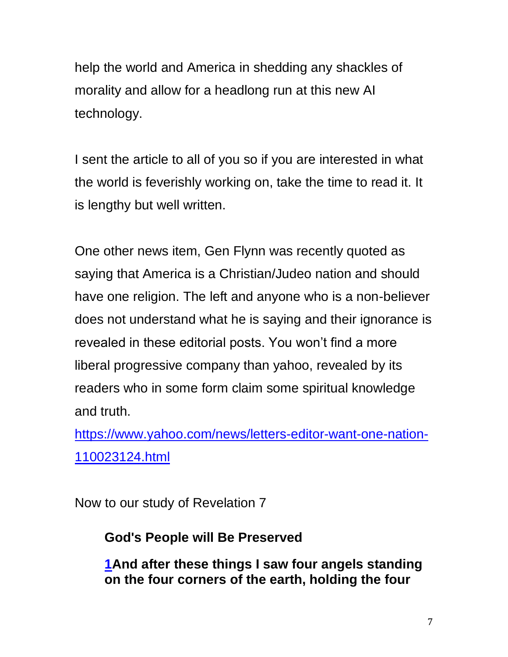help the world and America in shedding any shackles of morality and allow for a headlong run at this new AI technology.

I sent the article to all of you so if you are interested in what the world is feverishly working on, take the time to read it. It is lengthy but well written.

One other news item, Gen Flynn was recently quoted as saying that America is a Christian/Judeo nation and should have one religion. The left and anyone who is a non-believer does not understand what he is saying and their ignorance is revealed in these editorial posts. You won't find a more liberal progressive company than yahoo, revealed by its readers who in some form claim some spiritual knowledge and truth.

[https://www.yahoo.com/news/letters-editor-want-one-nation-](https://www.yahoo.com/news/letters-editor-want-one-nation-110023124.html)[110023124.html](https://www.yahoo.com/news/letters-editor-want-one-nation-110023124.html)

Now to our study of Revelation 7

## **God's People will Be Preserved**

**[1A](http://biblehub.com/revelation/7-1.htm)nd after these things I saw four angels standing on the four corners of the earth, holding the four**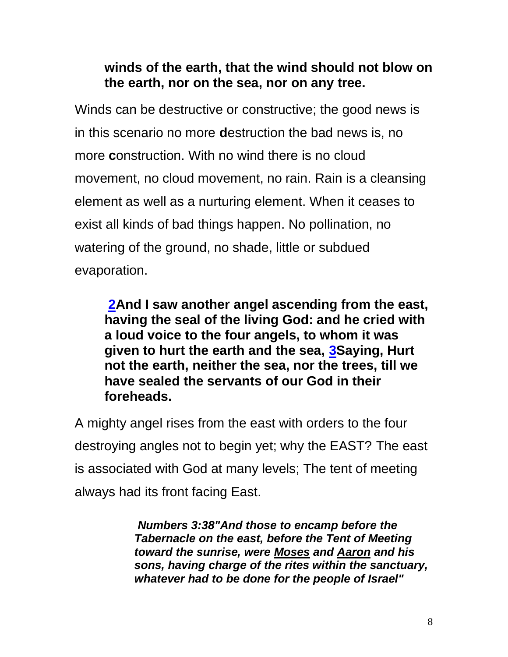## **winds of the earth, that the wind should not blow on the earth, nor on the sea, nor on any tree.**

Winds can be destructive or constructive; the good news is in this scenario no more **d**estruction the bad news is, no more **c**onstruction. With no wind there is no cloud movement, no cloud movement, no rain. Rain is a cleansing element as well as a nurturing element. When it ceases to exist all kinds of bad things happen. No pollination, no watering of the ground, no shade, little or subdued evaporation.

**[2A](http://biblehub.com/revelation/7-2.htm)nd I saw another angel ascending from the east, having the seal of the living God: and he cried with a loud voice to the four angels, to whom it was given to hurt the earth and the sea, [3S](http://biblehub.com/revelation/7-3.htm)aying, Hurt not the earth, neither the sea, nor the trees, till we have sealed the servants of our God in their foreheads.**

A mighty angel rises from the east with orders to the four destroying angles not to begin yet; why the EAST? The east is associated with God at many levels; The tent of meeting always had its front facing East.

> *Numbers 3:38"And those to encamp before the Tabernacle on the east, before the Tent of Meeting toward the sunrise, were [Moses](http://www.keyway.ca/htm2002/moses.htm) and [Aaron](http://www.keyway.ca/htm2002/aaron.htm) and his sons, having charge of the rites within the sanctuary, whatever had to be done for the people of Israel"*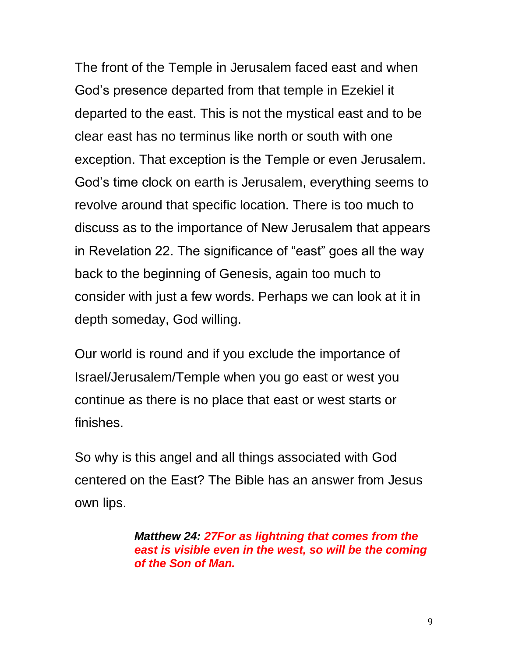The front of the Temple in Jerusalem faced east and when God's presence departed from that temple in Ezekiel it departed to the east. This is not the mystical east and to be clear east has no terminus like north or south with one exception. That exception is the Temple or even Jerusalem. God's time clock on earth is Jerusalem, everything seems to revolve around that specific location. There is too much to discuss as to the importance of New Jerusalem that appears in Revelation 22. The significance of "east" goes all the way back to the beginning of Genesis, again too much to consider with just a few words. Perhaps we can look at it in depth someday, God willing.

Our world is round and if you exclude the importance of Israel/Jerusalem/Temple when you go east or west you continue as there is no place that east or west starts or finishes.

So why is this angel and all things associated with God centered on the East? The Bible has an answer from Jesus own lips.

> *Matthew 24: [27F](http://biblehub.com/matthew/24-27.htm)or as lightning that comes from the east is visible even in the west, so will be the coming of the Son of Man.*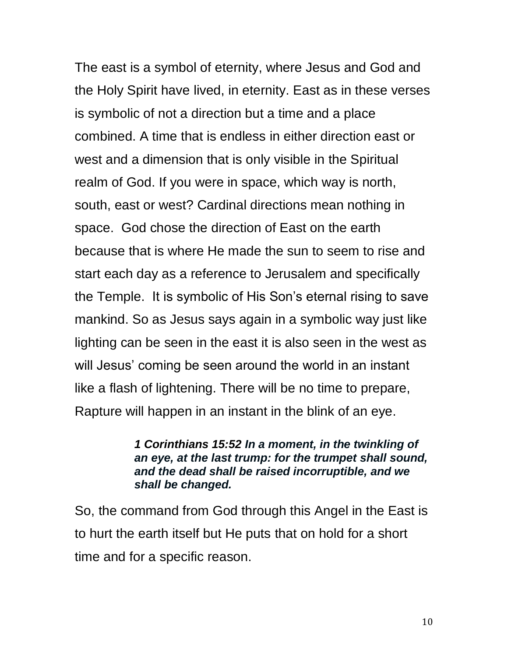The east is a symbol of eternity, where Jesus and God and the Holy Spirit have lived, in eternity. East as in these verses is symbolic of not a direction but a time and a place combined. A time that is endless in either direction east or west and a dimension that is only visible in the Spiritual realm of God. If you were in space, which way is north, south, east or west? Cardinal directions mean nothing in space. God chose the direction of East on the earth because that is where He made the sun to seem to rise and start each day as a reference to Jerusalem and specifically the Temple. It is symbolic of His Son's eternal rising to save mankind. So as Jesus says again in a symbolic way just like lighting can be seen in the east it is also seen in the west as will Jesus' coming be seen around the world in an instant like a flash of lightening. There will be no time to prepare, Rapture will happen in an instant in the blink of an eye.

#### *1 Corinthians 15:52 In a moment, in the twinkling of an eye, at the last trump: for the trumpet shall sound, and the dead shall be raised incorruptible, and we shall be changed.*

So, the command from God through this Angel in the East is to hurt the earth itself but He puts that on hold for a short time and for a specific reason.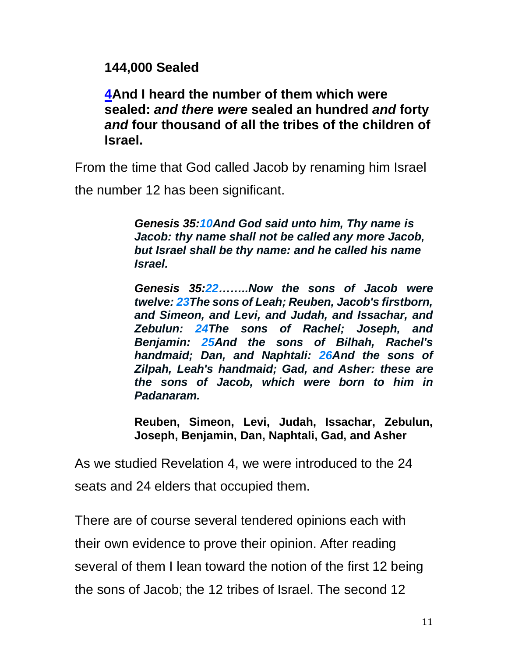**144,000 Sealed**

**[4A](http://biblehub.com/revelation/7-4.htm)nd I heard the number of them which were sealed:** *and there were* **sealed an hundred** *and* **forty**  *and* **four thousand of all the tribes of the children of Israel.**

From the time that God called Jacob by renaming him Israel

the number 12 has been significant.

*Genesis 35[:10A](http://biblehub.com/genesis/35-10.htm)nd God said unto him, Thy name is Jacob: thy name shall not be called any more Jacob, but Israel shall be thy name: and he called his name Israel.*

*Genesis 35[:22…](http://biblehub.com/genesis/35-22.htm)…..Now the sons of Jacob were twelve: [23T](http://biblehub.com/genesis/35-23.htm)he sons of Leah; Reuben, Jacob's firstborn, and Simeon, and Levi, and Judah, and Issachar, and Zebulun: [24T](http://biblehub.com/genesis/35-24.htm)he sons of Rachel; Joseph, and Benjamin: [25A](http://biblehub.com/genesis/35-25.htm)nd the sons of Bilhah, Rachel's handmaid; Dan, and Naphtali: [26A](http://biblehub.com/genesis/35-26.htm)nd the sons of Zilpah, Leah's handmaid; Gad, and Asher: these are the sons of Jacob, which were born to him in Padanaram.*

**Reuben, Simeon, Levi, Judah, Issachar, Zebulun, Joseph, Benjamin, Dan, Naphtali, Gad, and Asher**

As we studied Revelation 4, we were introduced to the 24 seats and 24 elders that occupied them.

There are of course several tendered opinions each with their own evidence to prove their opinion. After reading several of them I lean toward the notion of the first 12 being the sons of Jacob; the 12 tribes of Israel. The second 12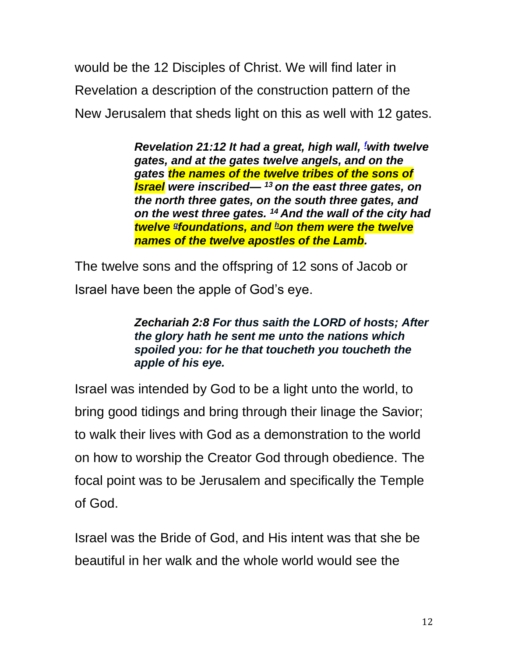would be the 12 Disciples of Christ. We will find later in Revelation a description of the construction pattern of the New Jerusalem that sheds light on this as well with 12 gates.

> *Revelation 21:12 It had a great, high wall, [f](https://biblia.com/bible/esv/Rev.21.12-14#footnote1)with twelve gates, and at the gates twelve angels, and on the gates the names of the twelve tribes of the sons of Israel were inscribed— <sup>13</sup> on the east three gates, on the north three gates, on the south three gates, and on the west three gates. <sup>14</sup> And the wall of the city had twelve [g](https://biblia.com/bible/esv/Rev.21.12-14#footnote2) foundations, and [h](https://biblia.com/bible/esv/Rev.21.12-14#footnote3)on them were the twelve names of the twelve apostles of the Lamb.*

The twelve sons and the offspring of 12 sons of Jacob or Israel have been the apple of God's eye.

#### *Zechariah 2:8 For thus saith the LORD of hosts; After the glory hath he sent me unto the nations which spoiled you: for he that toucheth you toucheth the apple of his eye.*

Israel was intended by God to be a light unto the world, to bring good tidings and bring through their linage the Savior; to walk their lives with God as a demonstration to the world on how to worship the Creator God through obedience. The focal point was to be Jerusalem and specifically the Temple of God.

Israel was the Bride of God, and His intent was that she be beautiful in her walk and the whole world would see the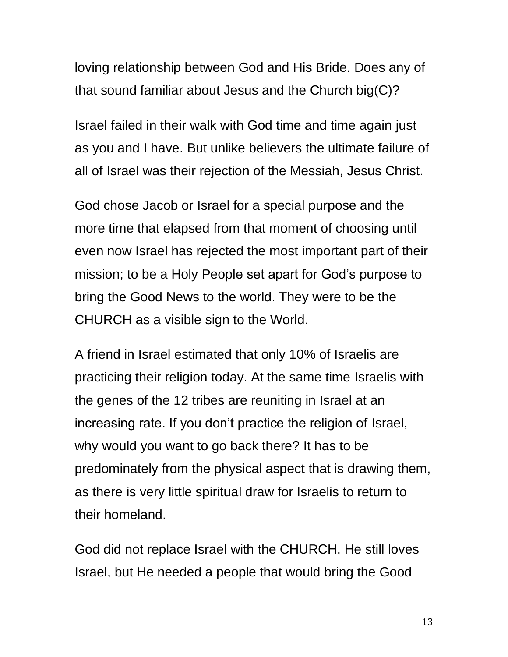loving relationship between God and His Bride. Does any of that sound familiar about Jesus and the Church big(C)?

Israel failed in their walk with God time and time again just as you and I have. But unlike believers the ultimate failure of all of Israel was their rejection of the Messiah, Jesus Christ.

God chose Jacob or Israel for a special purpose and the more time that elapsed from that moment of choosing until even now Israel has rejected the most important part of their mission; to be a Holy People set apart for God's purpose to bring the Good News to the world. They were to be the CHURCH as a visible sign to the World.

A friend in Israel estimated that only 10% of Israelis are practicing their religion today. At the same time Israelis with the genes of the 12 tribes are reuniting in Israel at an increasing rate. If you don't practice the religion of Israel, why would you want to go back there? It has to be predominately from the physical aspect that is drawing them, as there is very little spiritual draw for Israelis to return to their homeland.

God did not replace Israel with the CHURCH, He still loves Israel, but He needed a people that would bring the Good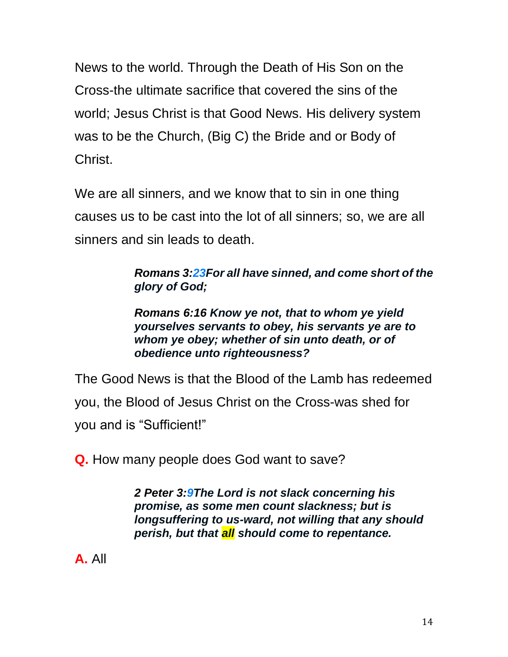News to the world. Through the Death of His Son on the Cross-the ultimate sacrifice that covered the sins of the world; Jesus Christ is that Good News. His delivery system was to be the Church, (Big C) the Bride and or Body of Christ.

We are all sinners, and we know that to sin in one thing causes us to be cast into the lot of all sinners; so, we are all sinners and sin leads to death.

> *Romans 3[:23F](http://biblehub.com/romans/3-23.htm)or all have sinned, and come short of the glory of God;*

*Romans 6:16 Know ye not, that to whom ye yield yourselves servants to obey, his servants ye are to whom ye obey; whether of sin unto death, or of obedience unto righteousness?*

The Good News is that the Blood of the Lamb has redeemed you, the Blood of Jesus Christ on the Cross-was shed for you and is "Sufficient!"

**Q.** How many people does God want to save?

*2 Peter 3[:9T](http://biblehub.com/2_peter/3-9.htm)he Lord is not slack concerning his promise, as some men count slackness; but is longsuffering to us-ward, not willing that any should perish, but that all should come to repentance.*

**A.** All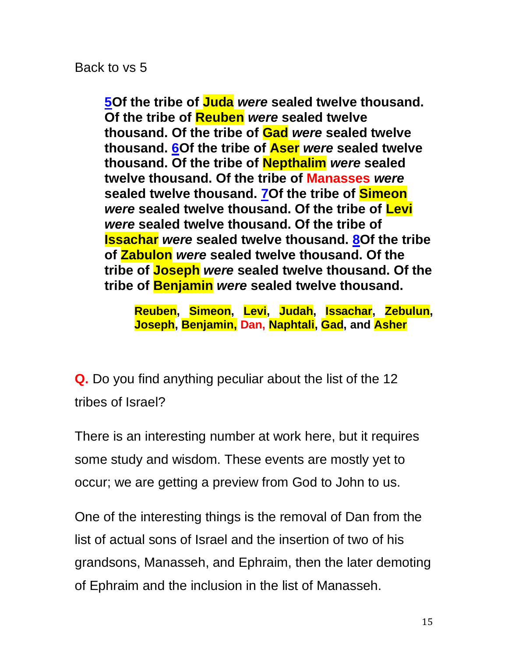Back to vs 5

**[5O](http://biblehub.com/revelation/7-5.htm)f the tribe of Juda** *were* **sealed twelve thousand. Of the tribe of Reuben** *were* **sealed twelve thousand. Of the tribe of Gad** *were* **sealed twelve thousand. [6O](http://biblehub.com/revelation/7-6.htm)f the tribe of Aser** *were* **sealed twelve thousand. Of the tribe of Nepthalim** *were* **sealed twelve thousand. Of the tribe of Manasses** *were* **sealed twelve thousand. [7O](http://biblehub.com/revelation/7-7.htm)f the tribe of Simeon** *were* **sealed twelve thousand. Of the tribe of Levi** *were* **sealed twelve thousand. Of the tribe of Issachar** *were* **sealed twelve thousand. [8O](http://biblehub.com/revelation/7-8.htm)f the tribe of Zabulon** *were* **sealed twelve thousand. Of the tribe of Joseph** *were* **sealed twelve thousand. Of the tribe of Benjamin** *were* **sealed twelve thousand.**

**Reuben, Simeon, Levi, Judah, Issachar, Zebulun, Joseph, Benjamin, Dan, Naphtali, Gad, and Asher**

**Q.** Do you find anything peculiar about the list of the 12 tribes of Israel?

There is an interesting number at work here, but it requires some study and wisdom. These events are mostly yet to occur; we are getting a preview from God to John to us.

One of the interesting things is the removal of Dan from the list of actual sons of Israel and the insertion of two of his grandsons, Manasseh, and Ephraim, then the later demoting of Ephraim and the inclusion in the list of Manasseh.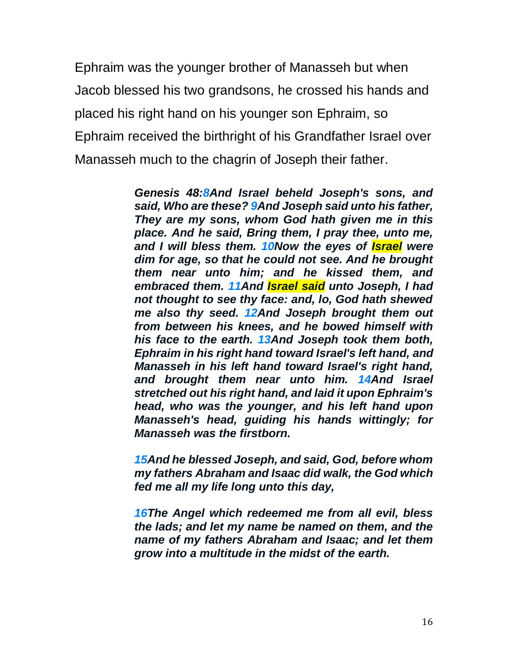Ephraim was the younger brother of Manasseh but when Jacob blessed his two grandsons, he crossed his hands and placed his right hand on his younger son Ephraim, so Ephraim received the birthright of his Grandfather Israel over Manasseh much to the chagrin of Joseph their father.

> *Genesis 48[:8A](http://biblehub.com/genesis/48-8.htm)nd Israel beheld Joseph's sons, and said, Who are these? [9A](http://biblehub.com/genesis/48-9.htm)nd Joseph said unto his father, They are my sons, whom God hath given me in this place. And he said, Bring them, I pray thee, unto me, and I will bless them. [10N](http://biblehub.com/genesis/48-10.htm)ow the eyes of Israel were dim for age, so that he could not see. And he brought them near unto him; and he kissed them, and embraced them. [11A](http://biblehub.com/genesis/48-11.htm)nd Israel said unto Joseph, I had not thought to see thy face: and, lo, God hath shewed me also thy seed. [12A](http://biblehub.com/genesis/48-12.htm)nd Joseph brought them out from between his knees, and he bowed himself with his face to the earth. [13A](http://biblehub.com/genesis/48-13.htm)nd Joseph took them both, Ephraim in his right hand toward Israel's left hand, and Manasseh in his left hand toward Israel's right hand, and brought them near unto him. [14A](http://biblehub.com/genesis/48-14.htm)nd Israel stretched out his right hand, and laid it upon Ephraim's head, who was the younger, and his left hand upon Manasseh's head, guiding his hands wittingly; for Manasseh was the firstborn.*

> *[15A](http://biblehub.com/genesis/48-15.htm)nd he blessed Joseph, and said, God, before whom my fathers Abraham and Isaac did walk, the God which fed me all my life long unto this day,*

> *[16T](http://biblehub.com/genesis/48-16.htm)he Angel which redeemed me from all evil, bless the lads; and let my name be named on them, and the name of my fathers Abraham and Isaac; and let them grow into a multitude in the midst of the earth.*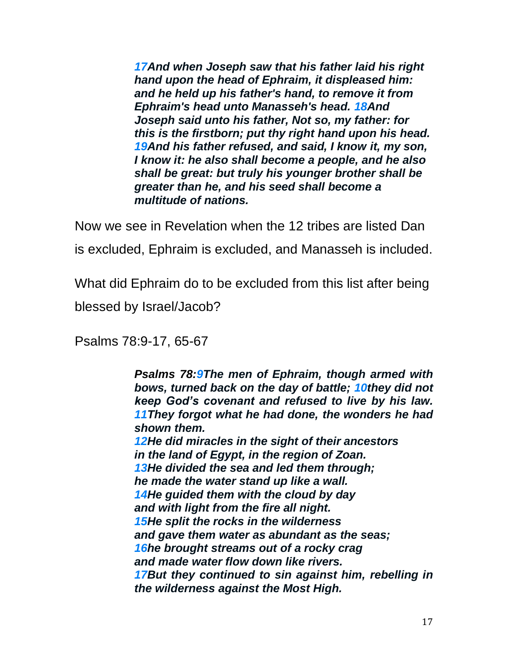*[17A](http://biblehub.com/genesis/48-17.htm)nd when Joseph saw that his father laid his right hand upon the head of Ephraim, it displeased him: and he held up his father's hand, to remove it from Ephraim's head unto Manasseh's head. [18A](http://biblehub.com/genesis/48-18.htm)nd Joseph said unto his father, Not so, my father: for this is the firstborn; put thy right hand upon his head. [19A](http://biblehub.com/genesis/48-19.htm)nd his father refused, and said, I know it, my son, I know it: he also shall become a people, and he also shall be great: but truly his younger brother shall be greater than he, and his seed shall become a multitude of nations.*

Now we see in Revelation when the 12 tribes are listed Dan is excluded, Ephraim is excluded, and Manasseh is included.

What did Ephraim do to be excluded from this list after being blessed by Israel/Jacob?

Psalms 78:9-17, 65-67

*Psalms 78[:9T](http://biblehub.com/psalms/78-9.htm)he men of Ephraim, though armed with bows, turned back on the day of battle; [10t](http://biblehub.com/psalms/78-10.htm)hey did not keep God's covenant and refused to live by his law. [11T](http://biblehub.com/psalms/78-11.htm)hey forgot what he had done, the wonders he had shown them. [12H](http://biblehub.com/psalms/78-12.htm)e did miracles in the sight of their ancestors in the land of Egypt, in the region of Zoan. [13H](http://biblehub.com/psalms/78-13.htm)e divided the sea and led them through; he made the water stand up like a wall. [14H](http://biblehub.com/psalms/78-14.htm)e guided them with the cloud by day and with light from the fire all night. [15H](http://biblehub.com/psalms/78-15.htm)e split the rocks in the wilderness and gave them water as abundant as the seas; [16h](http://biblehub.com/psalms/78-16.htm)e brought streams out of a rocky crag and made water flow down like rivers. [17B](http://biblehub.com/psalms/78-17.htm)ut they continued to sin against him, rebelling in the wilderness against the Most High.*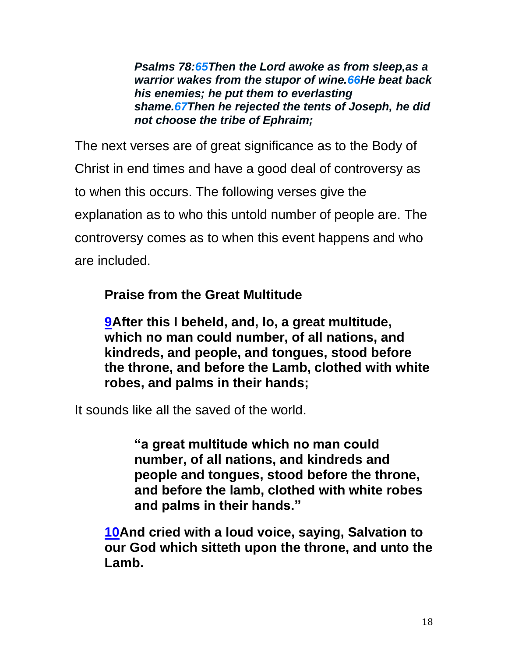*Psalms 78[:65T](http://biblehub.com/psalms/78-65.htm)hen the Lord awoke as from sleep,as a warrior wakes from the stupor of wine[.66H](http://biblehub.com/psalms/78-66.htm)e beat back his enemies; he put them to everlasting shame[.67T](http://biblehub.com/psalms/78-67.htm)hen he rejected the tents of Joseph, he did not choose the tribe of Ephraim;*

The next verses are of great significance as to the Body of Christ in end times and have a good deal of controversy as to when this occurs. The following verses give the explanation as to who this untold number of people are. The controversy comes as to when this event happens and who are included.

## **Praise from the Great Multitude**

**[9A](http://biblehub.com/revelation/7-9.htm)fter this I beheld, and, lo, a great multitude, which no man could number, of all nations, and kindreds, and people, and tongues, stood before the throne, and before the Lamb, clothed with white robes, and palms in their hands;**

It sounds like all the saved of the world.

**"a great multitude which no man could number, of all nations, and kindreds and people and tongues, stood before the throne, and before the lamb, clothed with white robes and palms in their hands."** 

**[10A](http://biblehub.com/revelation/7-10.htm)nd cried with a loud voice, saying, Salvation to our God which sitteth upon the throne, and unto the Lamb.**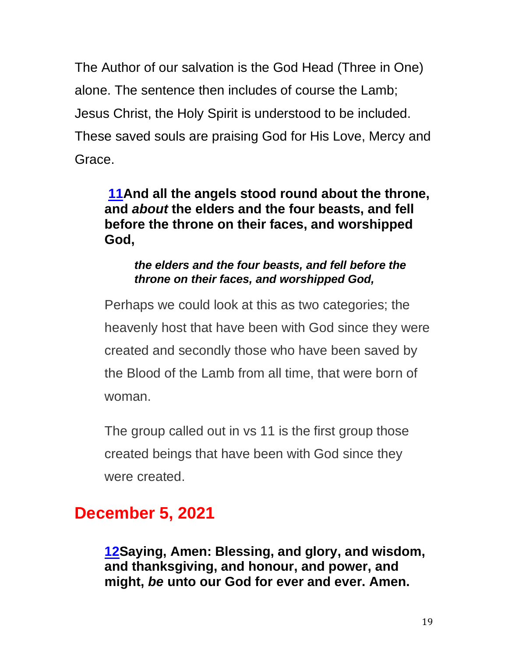The Author of our salvation is the God Head (Three in One) alone. The sentence then includes of course the Lamb; Jesus Christ, the Holy Spirit is understood to be included. These saved souls are praising God for His Love, Mercy and Grace.

## **[11A](http://biblehub.com/revelation/7-11.htm)nd all the angels stood round about the throne, and** *about* **the elders and the four beasts, and fell before the throne on their faces, and worshipped God,**

#### *the elders and the four beasts, and fell before the throne on their faces, and worshipped God,*

Perhaps we could look at this as two categories; the heavenly host that have been with God since they were created and secondly those who have been saved by the Blood of the Lamb from all time, that were born of woman.

The group called out in vs 11 is the first group those created beings that have been with God since they were created.

# **December 5, 2021**

**[12S](http://biblehub.com/revelation/7-12.htm)aying, Amen: Blessing, and glory, and wisdom, and thanksgiving, and honour, and power, and might,** *be* **unto our God for ever and ever. Amen.**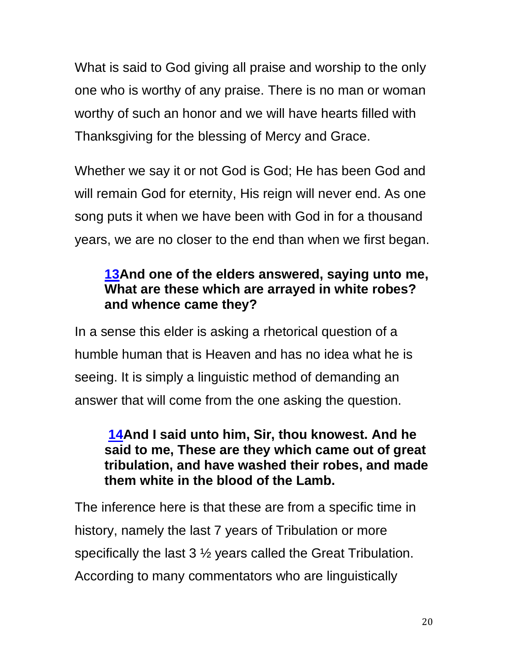What is said to God giving all praise and worship to the only one who is worthy of any praise. There is no man or woman worthy of such an honor and we will have hearts filled with Thanksgiving for the blessing of Mercy and Grace.

Whether we say it or not God is God; He has been God and will remain God for eternity, His reign will never end. As one song puts it when we have been with God in for a thousand years, we are no closer to the end than when we first began.

## **[13A](http://biblehub.com/revelation/7-13.htm)nd one of the elders answered, saying unto me, What are these which are arrayed in white robes? and whence came they?**

In a sense this elder is asking a rhetorical question of a humble human that is Heaven and has no idea what he is seeing. It is simply a linguistic method of demanding an answer that will come from the one asking the question.

## **[14A](http://biblehub.com/revelation/7-14.htm)nd I said unto him, Sir, thou knowest. And he said to me, These are they which came out of great tribulation, and have washed their robes, and made them white in the blood of the Lamb.**

The inference here is that these are from a specific time in history, namely the last 7 years of Tribulation or more specifically the last 3 ½ years called the Great Tribulation. According to many commentators who are linguistically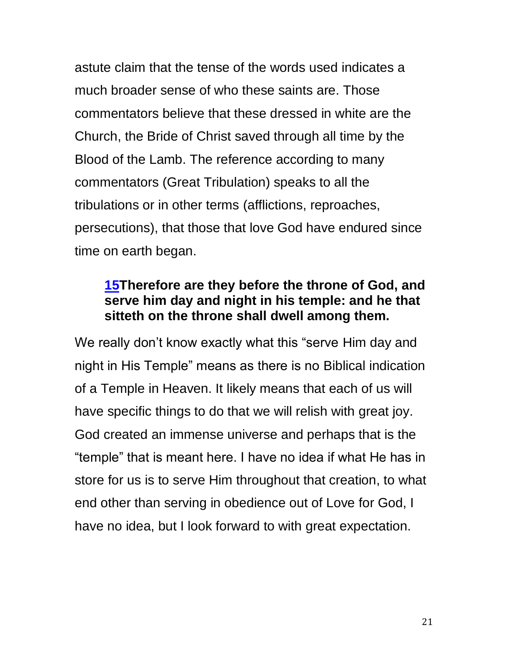astute claim that the tense of the words used indicates a much broader sense of who these saints are. Those commentators believe that these dressed in white are the Church, the Bride of Christ saved through all time by the Blood of the Lamb. The reference according to many commentators (Great Tribulation) speaks to all the tribulations or in other terms (afflictions, reproaches, persecutions), that those that love God have endured since time on earth began.

## **[15T](http://biblehub.com/revelation/7-15.htm)herefore are they before the throne of God, and serve him day and night in his temple: and he that sitteth on the throne shall dwell among them.**

We really don't know exactly what this "serve Him day and night in His Temple" means as there is no Biblical indication of a Temple in Heaven. It likely means that each of us will have specific things to do that we will relish with great joy. God created an immense universe and perhaps that is the "temple" that is meant here. I have no idea if what He has in store for us is to serve Him throughout that creation, to what end other than serving in obedience out of Love for God, I have no idea, but I look forward to with great expectation.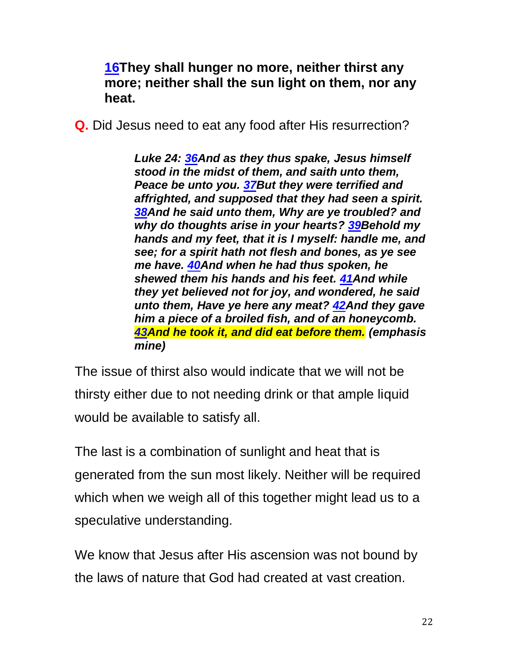**[16T](http://biblehub.com/revelation/7-16.htm)hey shall hunger no more, neither thirst any more; neither shall the sun light on them, nor any heat.**

**Q.** Did Jesus need to eat any food after His resurrection?

*Luke 24: [36A](https://biblehub.com/luke/24-36.htm)nd as they thus spake, Jesus himself stood in the midst of them, and saith unto them, Peace be unto you. [37B](https://biblehub.com/luke/24-37.htm)ut they were terrified and affrighted, and supposed that they had seen a spirit. [38A](https://biblehub.com/luke/24-38.htm)nd he said unto them, Why are ye troubled? and why do thoughts arise in your hearts? [39B](https://biblehub.com/luke/24-39.htm)ehold my hands and my feet, that it is I myself: handle me, and see; for a spirit hath not flesh and bones, as ye see me have. [40A](https://biblehub.com/luke/24-40.htm)nd when he had thus spoken, he shewed them his hands and his feet. [41A](https://biblehub.com/luke/24-41.htm)nd while they yet believed not for joy, and wondered, he said unto them, Have ye here any meat? [42A](https://biblehub.com/luke/24-42.htm)nd they gave him a piece of a broiled fish, and of an honeycomb. [43A](https://biblehub.com/luke/24-43.htm)nd he took it, and did eat before them. (emphasis mine)*

The issue of thirst also would indicate that we will not be thirsty either due to not needing drink or that ample liquid would be available to satisfy all.

The last is a combination of sunlight and heat that is generated from the sun most likely. Neither will be required which when we weigh all of this together might lead us to a speculative understanding.

We know that Jesus after His ascension was not bound by the laws of nature that God had created at vast creation.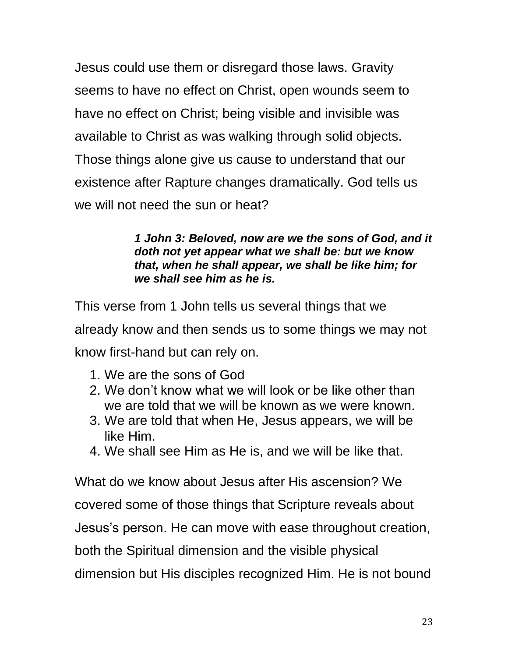Jesus could use them or disregard those laws. Gravity seems to have no effect on Christ, open wounds seem to have no effect on Christ; being visible and invisible was available to Christ as was walking through solid objects. Those things alone give us cause to understand that our existence after Rapture changes dramatically. God tells us we will not need the sun or heat?

> *1 John 3: Beloved, now are we the sons of God, and it doth not yet appear what we shall be: but we know that, when he shall appear, we shall be like him; for we shall see him as he is.*

This verse from 1 John tells us several things that we already know and then sends us to some things we may not know first-hand but can rely on.

- 1. We are the sons of God
- 2. We don't know what we will look or be like other than we are told that we will be known as we were known.
- 3. We are told that when He, Jesus appears, we will be like Him.
- 4. We shall see Him as He is, and we will be like that.

What do we know about Jesus after His ascension? We covered some of those things that Scripture reveals about Jesus's person. He can move with ease throughout creation, both the Spiritual dimension and the visible physical dimension but His disciples recognized Him. He is not bound